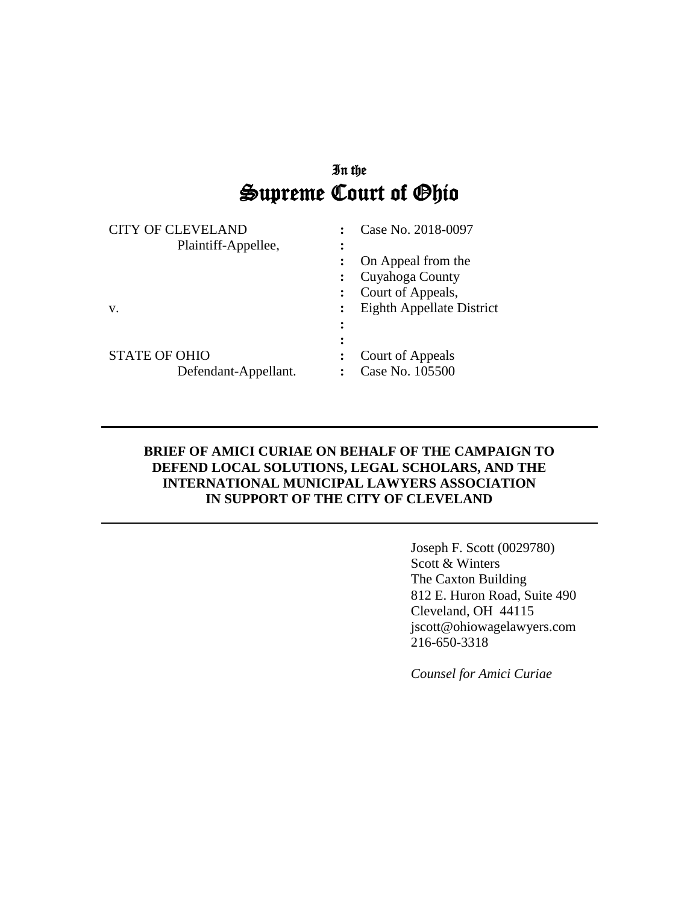# In the Supreme Court of Ohio

|               | <b>CITY OF CLEVELAND</b><br>Plaintiff-Appellee, | $\ddot{\cdot}$<br>፡ | Case No. 2018-0097<br>On Appeal from the<br>Cuyahoga County<br>Court of Appeals, |
|---------------|-------------------------------------------------|---------------------|----------------------------------------------------------------------------------|
| V.            |                                                 | ፡<br>፡              | Eighth Appellate District                                                        |
| STATE OF OHIO | Defendant-Appellant.                            |                     | Court of Appeals<br>Case No. 105500                                              |

#### **BRIEF OF AMICI CURIAE ON BEHALF OF THE CAMPAIGN TO DEFEND LOCAL SOLUTIONS, LEGAL SCHOLARS, AND THE INTERNATIONAL MUNICIPAL LAWYERS ASSOCIATION IN SUPPORT OF THE CITY OF CLEVELAND**

Joseph F. Scott (0029780) Scott & Winters The Caxton Building 812 E. Huron Road, Suite 490 Cleveland, OH 44115 jscott@ohiowagelawyers.com 216-650-3318

*Counsel for Amici Curiae*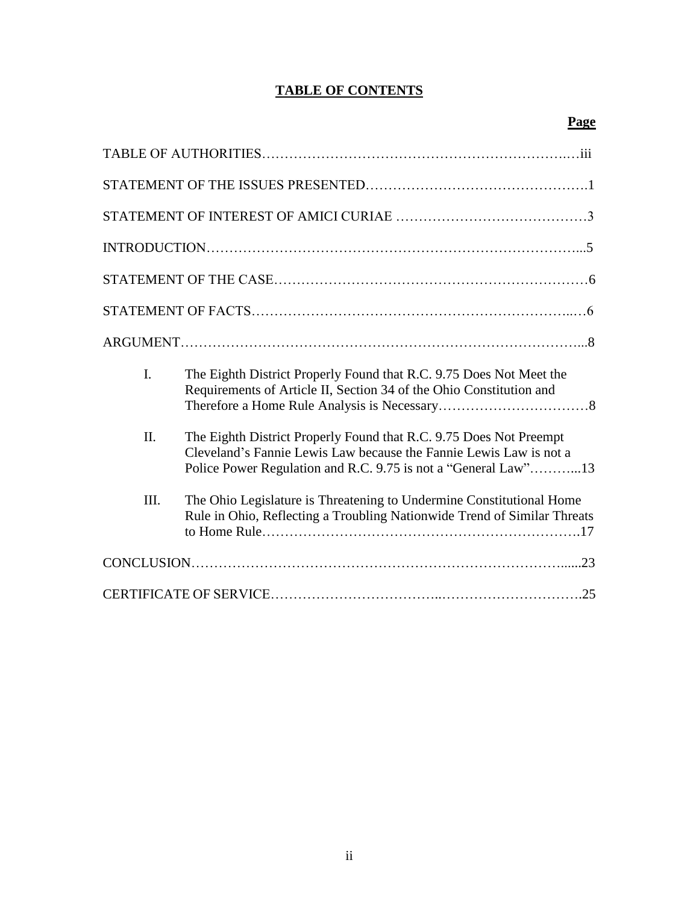## **TABLE OF CONTENTS**

| I.   | The Eighth District Properly Found that R.C. 9.75 Does Not Meet the<br>Requirements of Article II, Section 34 of the Ohio Constitution and                                                                 |
|------|------------------------------------------------------------------------------------------------------------------------------------------------------------------------------------------------------------|
| II.  | The Eighth District Properly Found that R.C. 9.75 Does Not Preempt<br>Cleveland's Fannie Lewis Law because the Fannie Lewis Law is not a<br>Police Power Regulation and R.C. 9.75 is not a "General Law"13 |
| III. | The Ohio Legislature is Threatening to Undermine Constitutional Home<br>Rule in Ohio, Reflecting a Troubling Nationwide Trend of Similar Threats                                                           |
|      |                                                                                                                                                                                                            |
|      |                                                                                                                                                                                                            |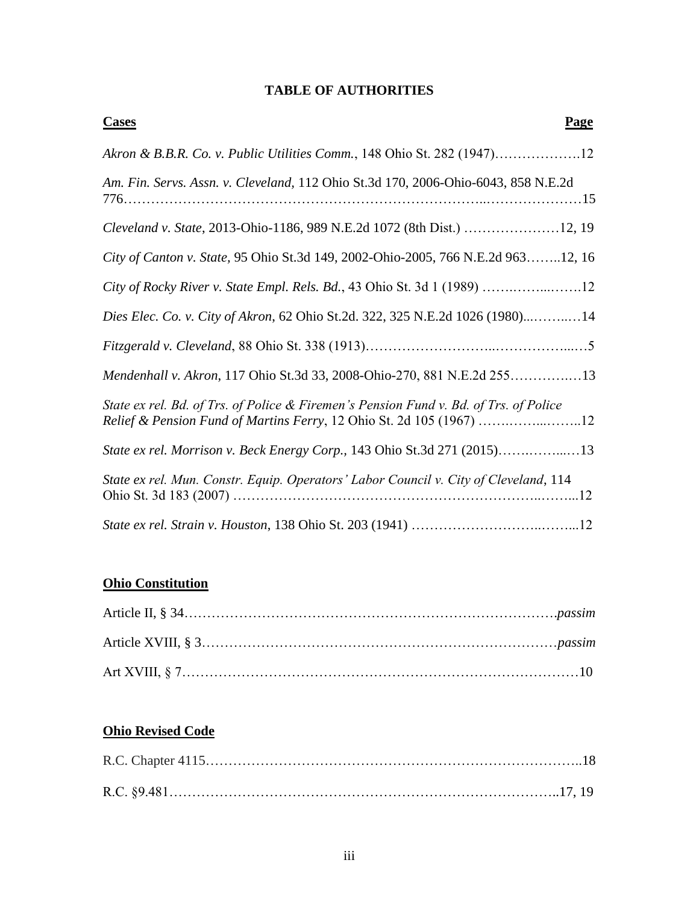## **TABLE OF AUTHORITIES**

| <b>Cases</b><br><b>Page</b>                                                                                                                                   |
|---------------------------------------------------------------------------------------------------------------------------------------------------------------|
| Akron & B.B.R. Co. v. Public Utilities Comm., 148 Ohio St. 282 (1947)12                                                                                       |
| Am. Fin. Servs. Assn. v. Cleveland, 112 Ohio St.3d 170, 2006-Ohio-6043, 858 N.E.2d                                                                            |
|                                                                                                                                                               |
| City of Canton v. State, 95 Ohio St.3d 149, 2002-Ohio-2005, 766 N.E.2d 96312, 16                                                                              |
|                                                                                                                                                               |
| Dies Elec. Co. v. City of Akron, 62 Ohio St.2d. 322, 325 N.E.2d 1026 (1980)14                                                                                 |
|                                                                                                                                                               |
| Mendenhall v. Akron, 117 Ohio St.3d 33, 2008-Ohio-270, 881 N.E.2d 25513                                                                                       |
| State ex rel. Bd. of Trs. of Police & Firemen's Pension Fund v. Bd. of Trs. of Police<br>Relief & Pension Fund of Martins Ferry, 12 Ohio St. 2d 105 (1967) 12 |
| State ex rel. Morrison v. Beck Energy Corp., 143 Ohio St.3d 271 (2015)13                                                                                      |
| State ex rel. Mun. Constr. Equip. Operators' Labor Council v. City of Cleveland, 114                                                                          |
|                                                                                                                                                               |

### **Ohio Constitution**

## **Ohio Revised Code**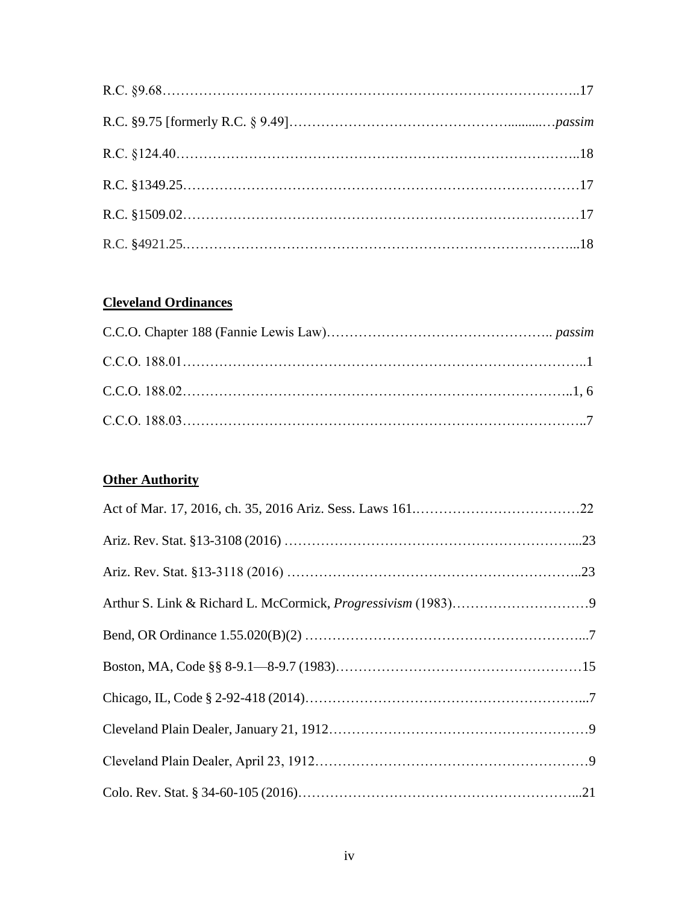## **Cleveland Ordinances**

## **Other Authority**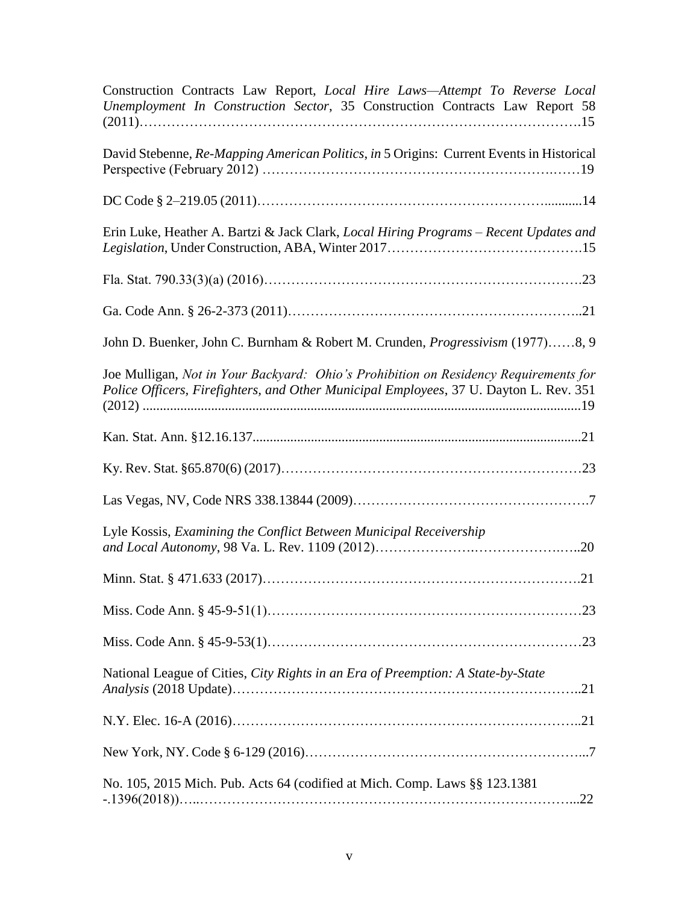| Construction Contracts Law Report, Local Hire Laws-Attempt To Reverse Local<br>Unemployment In Construction Sector, 35 Construction Contracts Law Report 58                    |
|--------------------------------------------------------------------------------------------------------------------------------------------------------------------------------|
| David Stebenne, Re-Mapping American Politics, in 5 Origins: Current Events in Historical                                                                                       |
|                                                                                                                                                                                |
| Erin Luke, Heather A. Bartzi & Jack Clark, Local Hiring Programs – Recent Updates and                                                                                          |
|                                                                                                                                                                                |
|                                                                                                                                                                                |
| John D. Buenker, John C. Burnham & Robert M. Crunden, <i>Progressivism</i> (1977)8, 9                                                                                          |
| Joe Mulligan, Not in Your Backyard: Ohio's Prohibition on Residency Requirements for<br>Police Officers, Firefighters, and Other Municipal Employees, 37 U. Dayton L. Rev. 351 |
|                                                                                                                                                                                |
|                                                                                                                                                                                |
|                                                                                                                                                                                |
| Lyle Kossis, Examining the Conflict Between Municipal Receivership                                                                                                             |
|                                                                                                                                                                                |
|                                                                                                                                                                                |
|                                                                                                                                                                                |
| National League of Cities, City Rights in an Era of Preemption: A State-by-State                                                                                               |
|                                                                                                                                                                                |
|                                                                                                                                                                                |
| No. 105, 2015 Mich. Pub. Acts 64 (codified at Mich. Comp. Laws §§ 123.1381                                                                                                     |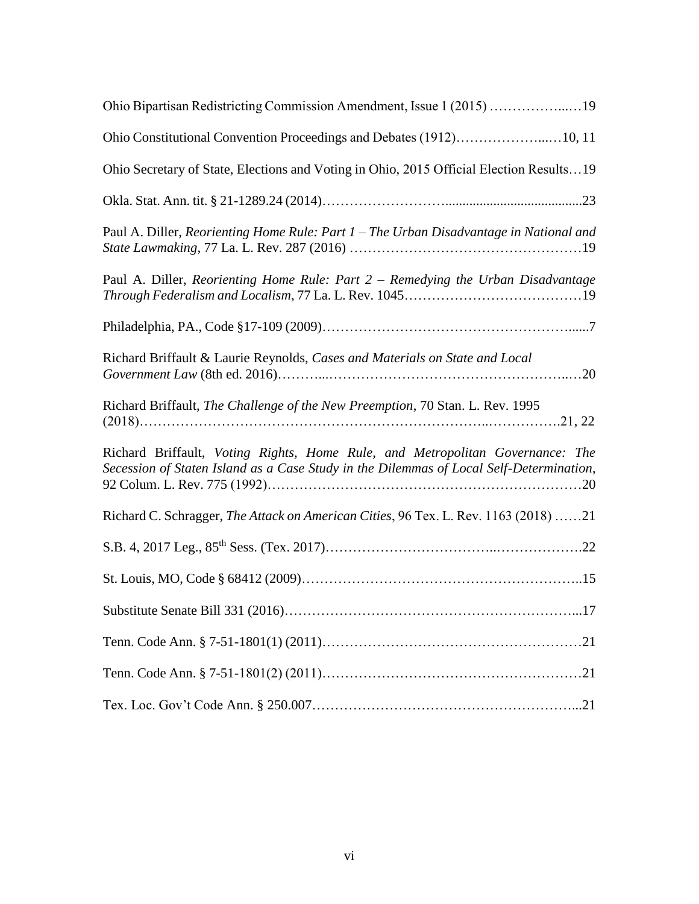| Ohio Bipartisan Redistricting Commission Amendment, Issue 1 (2015) 19                                                                                                    |
|--------------------------------------------------------------------------------------------------------------------------------------------------------------------------|
| Ohio Constitutional Convention Proceedings and Debates (1912)10, 11                                                                                                      |
| Ohio Secretary of State, Elections and Voting in Ohio, 2015 Official Election Results19                                                                                  |
|                                                                                                                                                                          |
| Paul A. Diller, Reorienting Home Rule: Part 1 – The Urban Disadvantage in National and                                                                                   |
| Paul A. Diller, Reorienting Home Rule: Part 2 - Remedying the Urban Disadvantage                                                                                         |
|                                                                                                                                                                          |
| Richard Briffault & Laurie Reynolds, Cases and Materials on State and Local                                                                                              |
| Richard Briffault, The Challenge of the New Preemption, 70 Stan. L. Rev. 1995                                                                                            |
| Richard Briffault, Voting Rights, Home Rule, and Metropolitan Governance: The<br>Secession of Staten Island as a Case Study in the Dilemmas of Local Self-Determination, |
| Richard C. Schragger, The Attack on American Cities, 96 Tex. L. Rev. 1163 (2018) 21                                                                                      |
|                                                                                                                                                                          |
|                                                                                                                                                                          |
|                                                                                                                                                                          |
|                                                                                                                                                                          |
|                                                                                                                                                                          |
|                                                                                                                                                                          |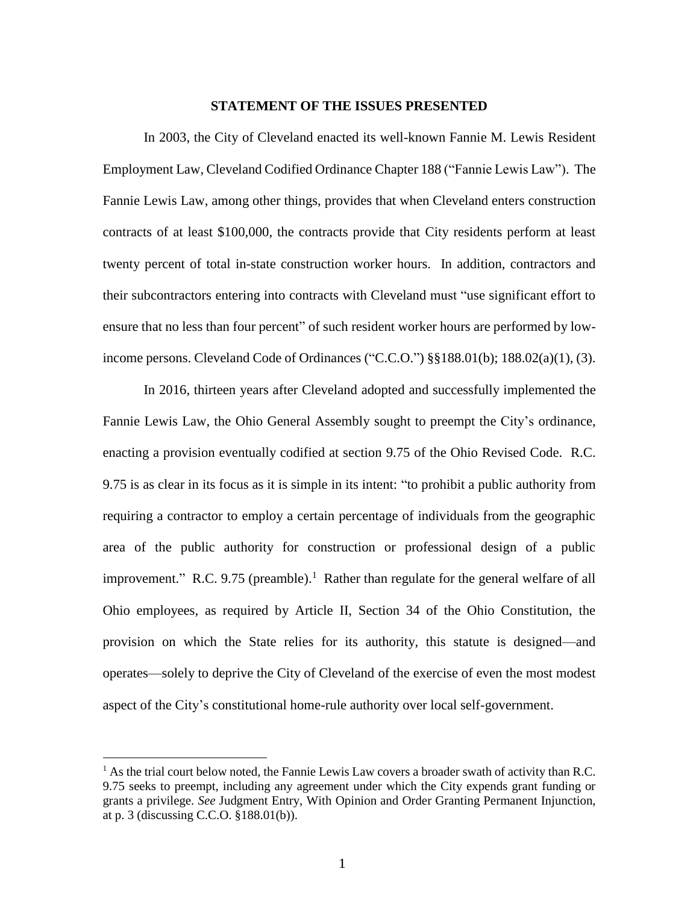#### **STATEMENT OF THE ISSUES PRESENTED**

In 2003, the City of Cleveland enacted its well-known Fannie M. Lewis Resident Employment Law, Cleveland Codified Ordinance Chapter 188 ("Fannie Lewis Law"). The Fannie Lewis Law, among other things, provides that when Cleveland enters construction contracts of at least \$100,000, the contracts provide that City residents perform at least twenty percent of total in-state construction worker hours. In addition, contractors and their subcontractors entering into contracts with Cleveland must "use significant effort to ensure that no less than four percent" of such resident worker hours are performed by lowincome persons. Cleveland Code of Ordinances ("C.C.O.") §§188.01(b); 188.02(a)(1), (3).

In 2016, thirteen years after Cleveland adopted and successfully implemented the Fannie Lewis Law, the Ohio General Assembly sought to preempt the City's ordinance, enacting a provision eventually codified at section 9.75 of the Ohio Revised Code. R.C. 9.75 is as clear in its focus as it is simple in its intent: "to prohibit a public authority from requiring a contractor to employ a certain percentage of individuals from the geographic area of the public authority for construction or professional design of a public improvement." R.C. 9.75 (preamble).<sup>1</sup> Rather than regulate for the general welfare of all Ohio employees, as required by Article II, Section 34 of the Ohio Constitution, the provision on which the State relies for its authority, this statute is designed—and operates—solely to deprive the City of Cleveland of the exercise of even the most modest aspect of the City's constitutional home-rule authority over local self-government.

<sup>&</sup>lt;sup>1</sup> As the trial court below noted, the Fannie Lewis Law covers a broader swath of activity than R.C. 9.75 seeks to preempt, including any agreement under which the City expends grant funding or grants a privilege. *See* Judgment Entry, With Opinion and Order Granting Permanent Injunction, at p. 3 (discussing C.C.O. §188.01(b)).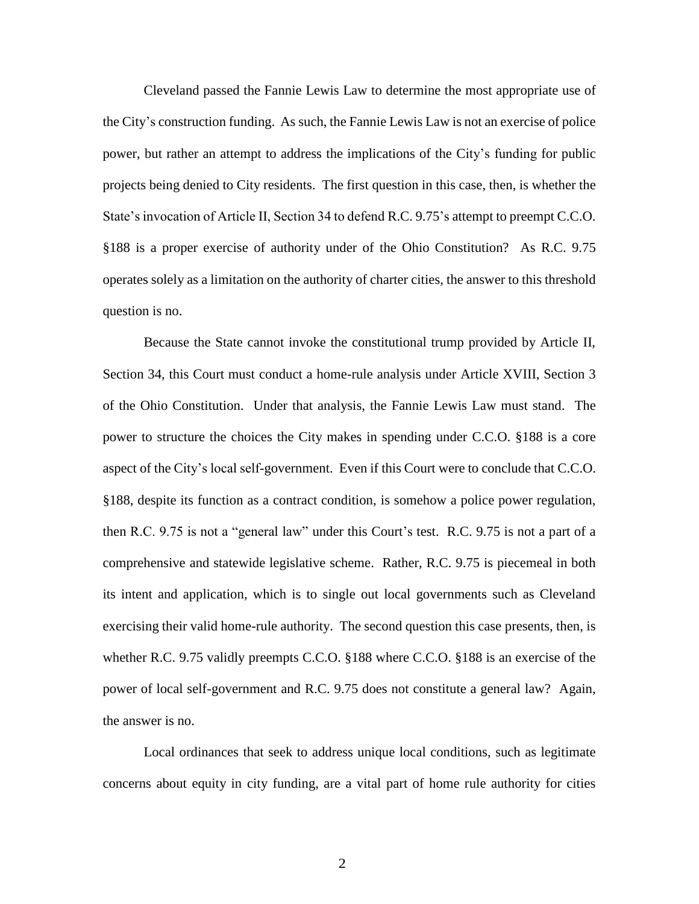Cleveland passed the Fannie Lewis Law to determine the most appropriate use of the City's construction funding. As such, the Fannie Lewis Law is not an exercise of police power, but rather an attempt to address the implications of the City's funding for public projects being denied to City residents. The first question in this case, then, is whether the State's invocation of Article II, Section 34 to defend R.C. 9.75's attempt to preempt C.C.O. §188 is a proper exercise of authority under of the Ohio Constitution? As R.C. 9.75 operates solely as a limitation on the authority of charter cities, the answer to this threshold question is no.

Because the State cannot invoke the constitutional trump provided by Article II, Section 34, this Court must conduct a home-rule analysis under Article XVIII, Section 3 of the Ohio Constitution. Under that analysis, the Fannie Lewis Law must stand. The power to structure the choices the City makes in spending under C.C.O. §188 is a core aspect of the City's local self-government. Even if this Court were to conclude that C.C.O. §188, despite its function as a contract condition, is somehow a police power regulation, then R.C. 9.75 is not a "general law" under this Court's test. R.C. 9.75 is not a part of a comprehensive and statewide legislative scheme. Rather, R.C. 9.75 is piecemeal in both its intent and application, which is to single out local governments such as Cleveland exercising their valid home-rule authority. The second question this case presents, then, is whether R.C. 9.75 validly preempts C.C.O. §188 where C.C.O. §188 is an exercise of the power of local self-government and R.C. 9.75 does not constitute a general law? Again, the answer is no.

Local ordinances that seek to address unique local conditions, such as legitimate concerns about equity in city funding, are a vital part of home rule authority for cities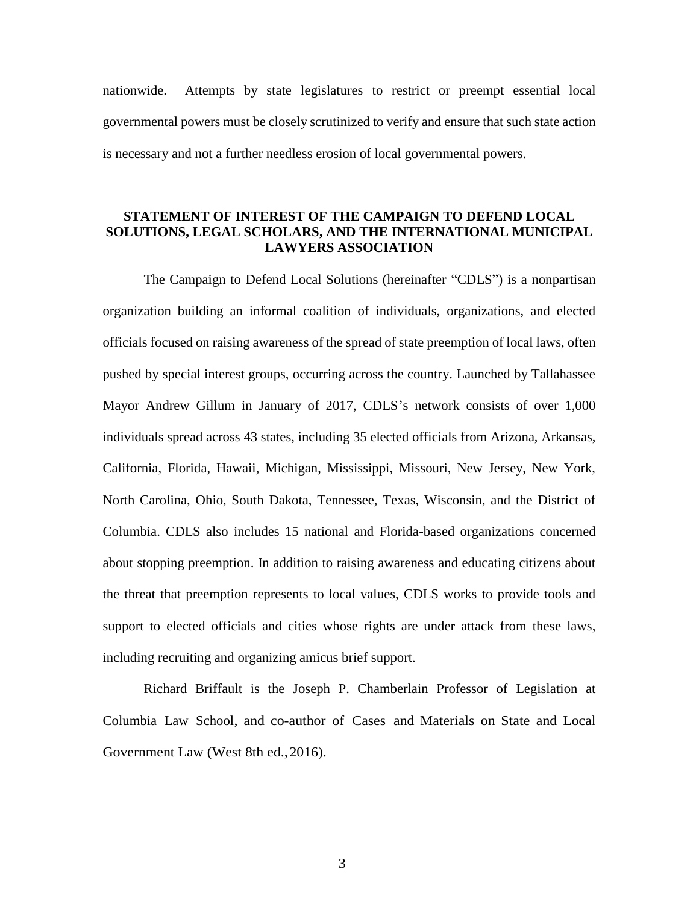nationwide. Attempts by state legislatures to restrict or preempt essential local governmental powers must be closely scrutinized to verify and ensure that such state action is necessary and not a further needless erosion of local governmental powers.

#### **STATEMENT OF INTEREST OF THE CAMPAIGN TO DEFEND LOCAL SOLUTIONS, LEGAL SCHOLARS, AND THE INTERNATIONAL MUNICIPAL LAWYERS ASSOCIATION**

The Campaign to Defend Local Solutions (hereinafter "CDLS") is a nonpartisan organization building an informal coalition of individuals, organizations, and elected officials focused on raising awareness of the spread of state preemption of local laws, often pushed by special interest groups, occurring across the country. Launched by Tallahassee Mayor Andrew Gillum in January of 2017, CDLS's network consists of over 1,000 individuals spread across 43 states, including 35 elected officials from Arizona, Arkansas, California, Florida, Hawaii, Michigan, Mississippi, Missouri, New Jersey, New York, North Carolina, Ohio, South Dakota, Tennessee, Texas, Wisconsin, and the District of Columbia. CDLS also includes 15 national and Florida-based organizations concerned about stopping preemption. In addition to raising awareness and educating citizens about the threat that preemption represents to local values, CDLS works to provide tools and support to elected officials and cities whose rights are under attack from these laws, including recruiting and organizing amicus brief support.

Richard Briffault is the Joseph P. Chamberlain Professor of Legislation at Columbia Law School, and co-author of Cases and Materials on State and Local Government Law (West 8th ed.,2016).

3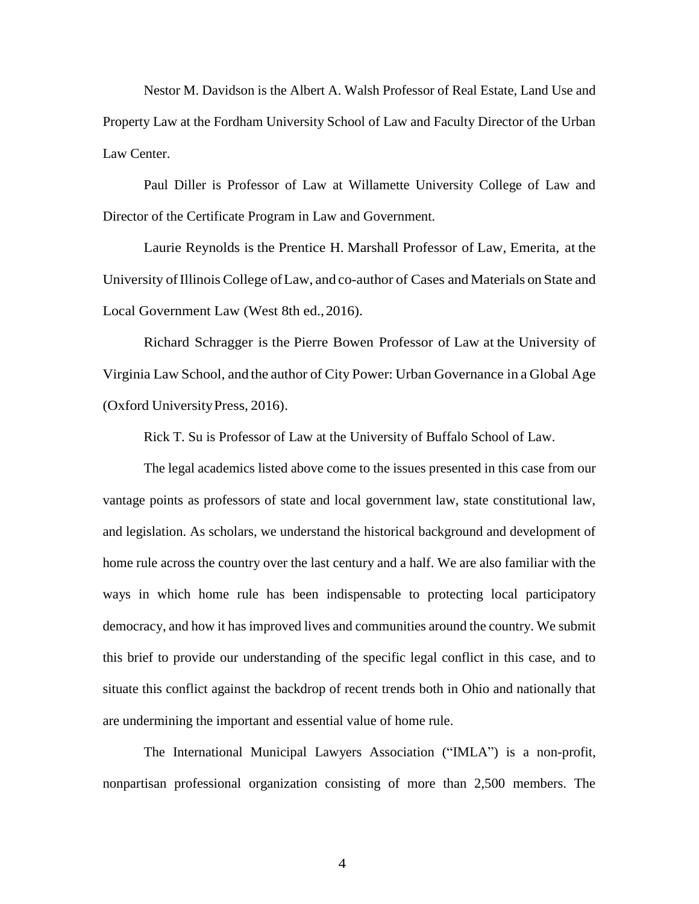Nestor M. Davidson is the Albert A. Walsh Professor of Real Estate, Land Use and Property Law at the Fordham University School of Law and Faculty Director of the Urban Law Center.

Paul Diller is Professor of Law at Willamette University College of Law and Director of the Certificate Program in Law and Government.

Laurie Reynolds is the Prentice H. Marshall Professor of Law, Emerita, at the University ofIllinois College ofLaw, and co-author of Cases and Materials on State and Local Government Law (West 8th ed.,2016).

Richard Schragger is the Pierre Bowen Professor of Law at the University of Virginia Law School, and the author of City Power: Urban Governance in a Global Age (Oxford University Press, 2016).

Rick T. Su is Professor of Law at the University of Buffalo School of Law.

The legal academics listed above come to the issues presented in this case from our vantage points as professors of state and local government law, state constitutional law, and legislation. As scholars, we understand the historical background and development of home rule across the country over the last century and a half. We are also familiar with the ways in which home rule has been indispensable to protecting local participatory democracy, and how it has improved lives and communities around the country. We submit this brief to provide our understanding of the specific legal conflict in this case, and to situate this conflict against the backdrop of recent trends both in Ohio and nationally that are undermining the important and essential value of home rule.

The International Municipal Lawyers Association ("IMLA") is a non-profit, nonpartisan professional organization consisting of more than 2,500 members. The

4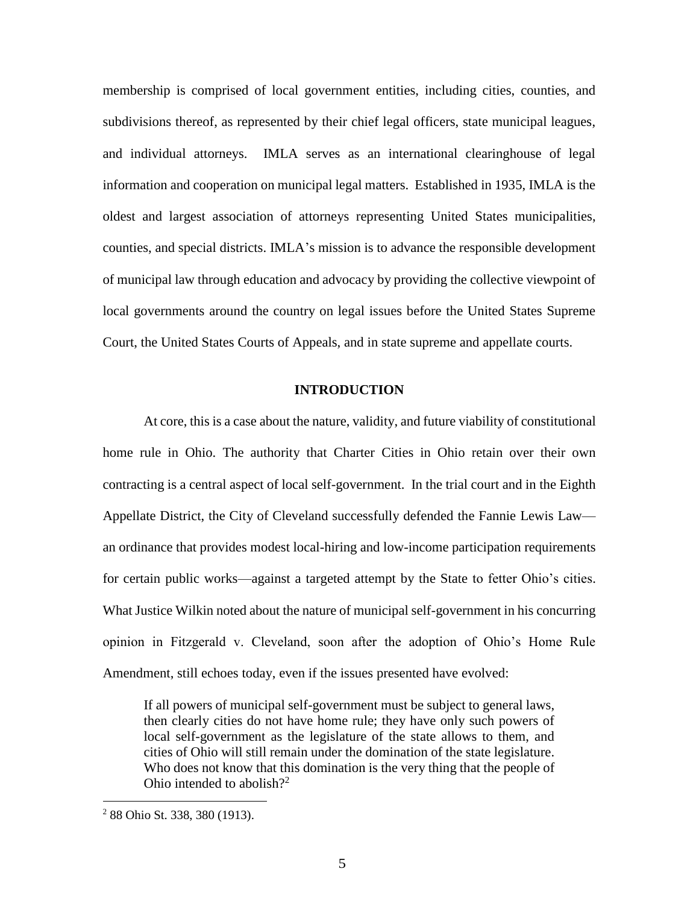membership is comprised of local government entities, including cities, counties, and subdivisions thereof, as represented by their chief legal officers, state municipal leagues, and individual attorneys. IMLA serves as an international clearinghouse of legal information and cooperation on municipal legal matters. Established in 1935, IMLA is the oldest and largest association of attorneys representing United States municipalities, counties, and special districts. IMLA's mission is to advance the responsible development of municipal law through education and advocacy by providing the collective viewpoint of local governments around the country on legal issues before the United States Supreme Court, the United States Courts of Appeals, and in state supreme and appellate courts.

#### **INTRODUCTION**

At core, this is a case about the nature, validity, and future viability of constitutional home rule in Ohio. The authority that Charter Cities in Ohio retain over their own contracting is a central aspect of local self-government. In the trial court and in the Eighth Appellate District, the City of Cleveland successfully defended the Fannie Lewis Law an ordinance that provides modest local-hiring and low-income participation requirements for certain public works—against a targeted attempt by the State to fetter Ohio's cities. What Justice Wilkin noted about the nature of municipal self-government in his concurring opinion in Fitzgerald v. Cleveland, soon after the adoption of Ohio's Home Rule Amendment, still echoes today, even if the issues presented have evolved:

If all powers of municipal self-government must be subject to general laws, then clearly cities do not have home rule; they have only such powers of local self-government as the legislature of the state allows to them, and cities of Ohio will still remain under the domination of the state legislature. Who does not know that this domination is the very thing that the people of Ohio intended to abolish?<sup>2</sup>

<sup>2</sup> 88 Ohio St. 338, 380 (1913).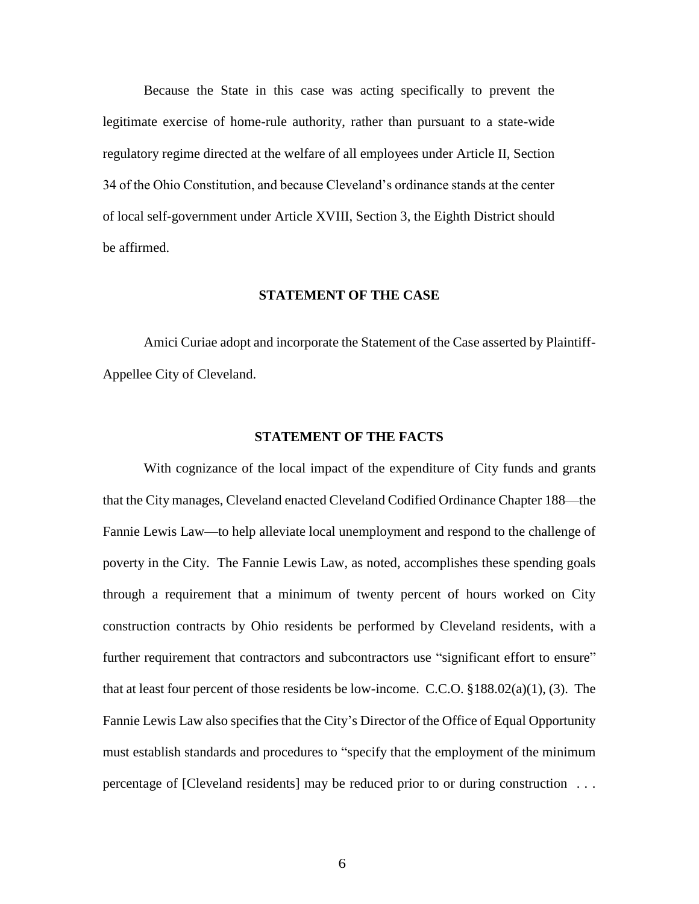Because the State in this case was acting specifically to prevent the legitimate exercise of home-rule authority, rather than pursuant to a state-wide regulatory regime directed at the welfare of all employees under Article II, Section 34 of the Ohio Constitution, and because Cleveland's ordinance stands at the center of local self-government under Article XVIII, Section 3, the Eighth District should be affirmed.

#### **STATEMENT OF THE CASE**

Amici Curiae adopt and incorporate the Statement of the Case asserted by Plaintiff-Appellee City of Cleveland.

#### **STATEMENT OF THE FACTS**

With cognizance of the local impact of the expenditure of City funds and grants that the City manages, Cleveland enacted Cleveland Codified Ordinance Chapter 188—the Fannie Lewis Law—to help alleviate local unemployment and respond to the challenge of poverty in the City. The Fannie Lewis Law, as noted, accomplishes these spending goals through a requirement that a minimum of twenty percent of hours worked on City construction contracts by Ohio residents be performed by Cleveland residents, with a further requirement that contractors and subcontractors use "significant effort to ensure" that at least four percent of those residents be low-income. C.C.O. §188.02(a)(1), (3). The Fannie Lewis Law also specifies that the City's Director of the Office of Equal Opportunity must establish standards and procedures to "specify that the employment of the minimum percentage of [Cleveland residents] may be reduced prior to or during construction . . .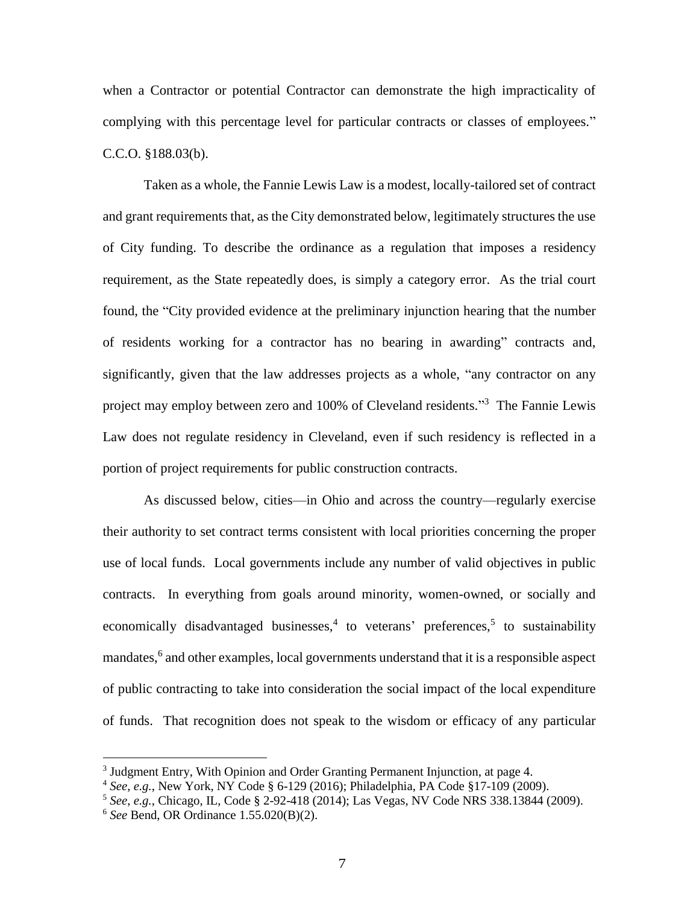when a Contractor or potential Contractor can demonstrate the high impracticality of complying with this percentage level for particular contracts or classes of employees." C.C.O. §188.03(b).

Taken as a whole, the Fannie Lewis Law is a modest, locally-tailored set of contract and grant requirements that, as the City demonstrated below, legitimately structures the use of City funding. To describe the ordinance as a regulation that imposes a residency requirement, as the State repeatedly does, is simply a category error. As the trial court found, the "City provided evidence at the preliminary injunction hearing that the number of residents working for a contractor has no bearing in awarding" contracts and, significantly, given that the law addresses projects as a whole, "any contractor on any project may employ between zero and 100% of Cleveland residents."<sup>3</sup> The Fannie Lewis Law does not regulate residency in Cleveland, even if such residency is reflected in a portion of project requirements for public construction contracts.

As discussed below, cities—in Ohio and across the country—regularly exercise their authority to set contract terms consistent with local priorities concerning the proper use of local funds. Local governments include any number of valid objectives in public contracts. In everything from goals around minority, women-owned, or socially and economically disadvantaged businesses,<sup>4</sup> to veterans' preferences,<sup>5</sup> to sustainability mandates,<sup>6</sup> and other examples, local governments understand that it is a responsible aspect of public contracting to take into consideration the social impact of the local expenditure of funds. That recognition does not speak to the wisdom or efficacy of any particular

<sup>&</sup>lt;sup>3</sup> Judgment Entry, With Opinion and Order Granting Permanent Injunction, at page 4.

<sup>4</sup> *See, e.g.*, New York, NY Code § 6-129 (2016); Philadelphia, PA Code §17-109 (2009).

<sup>5</sup> *See*, *e.g.*, Chicago, IL, Code § 2-92-418 (2014); Las Vegas, NV Code NRS 338.13844 (2009).

<sup>6</sup> *See* Bend, OR Ordinance 1.55.020(B)(2).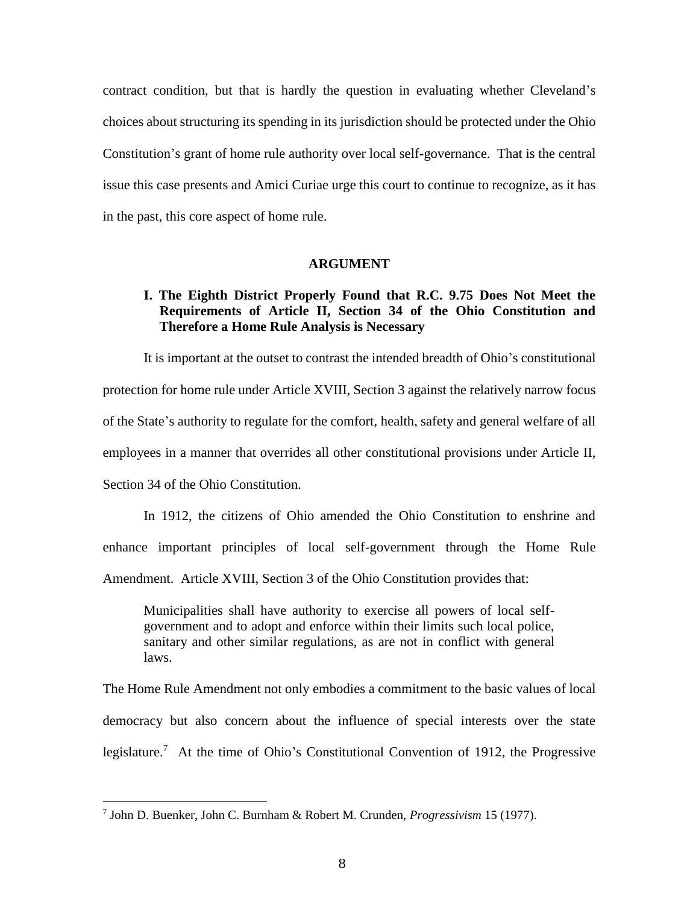contract condition, but that is hardly the question in evaluating whether Cleveland's choices about structuring its spending in its jurisdiction should be protected under the Ohio Constitution's grant of home rule authority over local self-governance. That is the central issue this case presents and Amici Curiae urge this court to continue to recognize, as it has in the past, this core aspect of home rule.

#### **ARGUMENT**

#### **I. The Eighth District Properly Found that R.C. 9.75 Does Not Meet the Requirements of Article II, Section 34 of the Ohio Constitution and Therefore a Home Rule Analysis is Necessary**

It is important at the outset to contrast the intended breadth of Ohio's constitutional protection for home rule under Article XVIII, Section 3 against the relatively narrow focus of the State's authority to regulate for the comfort, health, safety and general welfare of all employees in a manner that overrides all other constitutional provisions under Article II, Section 34 of the Ohio Constitution.

In 1912, the citizens of Ohio amended the Ohio Constitution to enshrine and enhance important principles of local self-government through the Home Rule Amendment. Article XVIII, Section 3 of the Ohio Constitution provides that:

Municipalities shall have authority to exercise all powers of local selfgovernment and to adopt and enforce within their limits such local police, sanitary and other similar regulations, as are not in conflict with general laws.

The Home Rule Amendment not only embodies a commitment to the basic values of local democracy but also concern about the influence of special interests over the state legislature.<sup>7</sup> At the time of Ohio's Constitutional Convention of 1912, the Progressive

<sup>7</sup> John D. Buenker, John C. Burnham & Robert M. Crunden, *Progressivism* 15 (1977).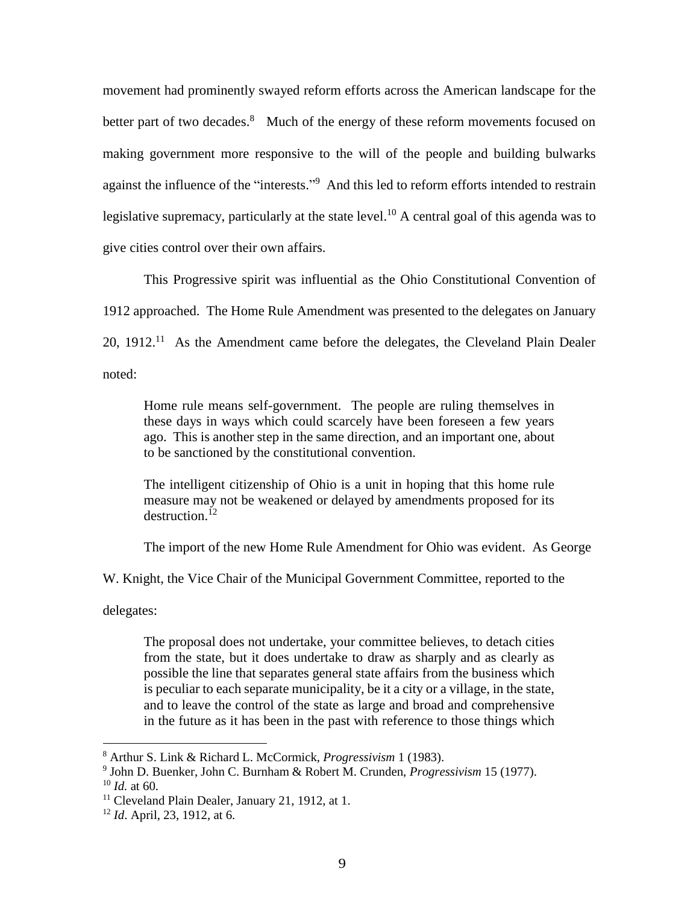movement had prominently swayed reform efforts across the American landscape for the better part of two decades.<sup>8</sup> Much of the energy of these reform movements focused on making government more responsive to the will of the people and building bulwarks against the influence of the "interests."<sup>9</sup> And this led to reform efforts intended to restrain legislative supremacy, particularly at the state level.<sup>10</sup> A central goal of this agenda was to give cities control over their own affairs.

This Progressive spirit was influential as the Ohio Constitutional Convention of 1912 approached. The Home Rule Amendment was presented to the delegates on January  $20, 1912$ <sup>11</sup> As the Amendment came before the delegates, the Cleveland Plain Dealer noted:

Home rule means self-government. The people are ruling themselves in these days in ways which could scarcely have been foreseen a few years ago. This is another step in the same direction, and an important one, about to be sanctioned by the constitutional convention.

The intelligent citizenship of Ohio is a unit in hoping that this home rule measure may not be weakened or delayed by amendments proposed for its  $d$ estruction.<sup>12</sup>

The import of the new Home Rule Amendment for Ohio was evident. As George

W. Knight, the Vice Chair of the Municipal Government Committee, reported to the

delegates:

 $\overline{a}$ 

The proposal does not undertake, your committee believes, to detach cities from the state, but it does undertake to draw as sharply and as clearly as possible the line that separates general state affairs from the business which is peculiar to each separate municipality, be it a city or a village, in the state, and to leave the control of the state as large and broad and comprehensive in the future as it has been in the past with reference to those things which

<sup>8</sup> Arthur S. Link & Richard L. McCormick, *Progressivism* 1 (1983).

<sup>9</sup> John D. Buenker, John C. Burnham & Robert M. Crunden, *Progressivism* 15 (1977).  $10$  *Id.* at 60.

<sup>&</sup>lt;sup>11</sup> Cleveland Plain Dealer, January 21, 1912, at 1.

<sup>12</sup> *Id*. April, 23, 1912, at 6.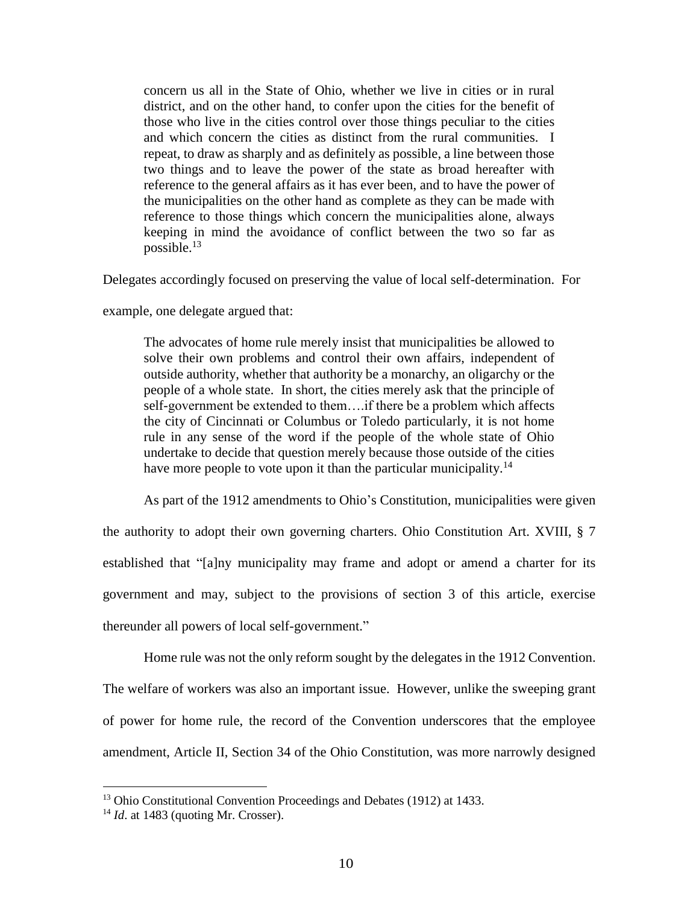concern us all in the State of Ohio, whether we live in cities or in rural district, and on the other hand, to confer upon the cities for the benefit of those who live in the cities control over those things peculiar to the cities and which concern the cities as distinct from the rural communities. I repeat, to draw as sharply and as definitely as possible, a line between those two things and to leave the power of the state as broad hereafter with reference to the general affairs as it has ever been, and to have the power of the municipalities on the other hand as complete as they can be made with reference to those things which concern the municipalities alone, always keeping in mind the avoidance of conflict between the two so far as possible. $^{13}$ 

Delegates accordingly focused on preserving the value of local self-determination. For

example, one delegate argued that:

The advocates of home rule merely insist that municipalities be allowed to solve their own problems and control their own affairs, independent of outside authority, whether that authority be a monarchy, an oligarchy or the people of a whole state. In short, the cities merely ask that the principle of self-government be extended to them….if there be a problem which affects the city of Cincinnati or Columbus or Toledo particularly, it is not home rule in any sense of the word if the people of the whole state of Ohio undertake to decide that question merely because those outside of the cities have more people to vote upon it than the particular municipality.<sup>14</sup>

As part of the 1912 amendments to Ohio's Constitution, municipalities were given the authority to adopt their own governing charters. Ohio Constitution Art. XVIII, § 7 established that "[a]ny municipality may frame and adopt or amend a charter for its government and may, subject to the provisions of section 3 of this article, exercise thereunder all powers of local self-government."

Home rule was not the only reform sought by the delegates in the 1912 Convention. The welfare of workers was also an important issue. However, unlike the sweeping grant of power for home rule, the record of the Convention underscores that the employee amendment, Article II, Section 34 of the Ohio Constitution, was more narrowly designed

<sup>&</sup>lt;sup>13</sup> Ohio Constitutional Convention Proceedings and Debates (1912) at 1433.

<sup>&</sup>lt;sup>14</sup> *Id.* at 1483 (quoting Mr. Crosser).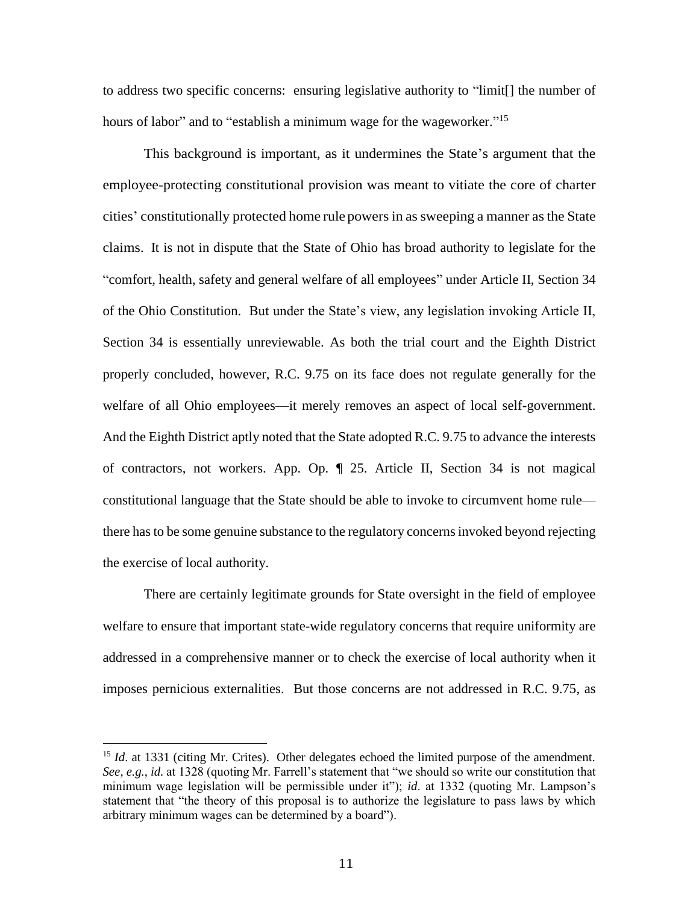to address two specific concerns: ensuring legislative authority to "limit[] the number of hours of labor" and to "establish a minimum wage for the wageworker."<sup>15</sup>

This background is important, as it undermines the State's argument that the employee-protecting constitutional provision was meant to vitiate the core of charter cities' constitutionally protected home rule powers in as sweeping a manner as the State claims. It is not in dispute that the State of Ohio has broad authority to legislate for the "comfort, health, safety and general welfare of all employees" under Article II, Section 34 of the Ohio Constitution. But under the State's view, any legislation invoking Article II, Section 34 is essentially unreviewable. As both the trial court and the Eighth District properly concluded, however, R.C. 9.75 on its face does not regulate generally for the welfare of all Ohio employees—it merely removes an aspect of local self-government. And the Eighth District aptly noted that the State adopted R.C. 9.75 to advance the interests of contractors, not workers. App. Op. ¶ 25. Article II, Section 34 is not magical constitutional language that the State should be able to invoke to circumvent home rule there has to be some genuine substance to the regulatory concerns invoked beyond rejecting the exercise of local authority.

There are certainly legitimate grounds for State oversight in the field of employee welfare to ensure that important state-wide regulatory concerns that require uniformity are addressed in a comprehensive manner or to check the exercise of local authority when it imposes pernicious externalities. But those concerns are not addressed in R.C. 9.75, as

<sup>&</sup>lt;sup>15</sup> *Id.* at 1331 (citing Mr. Crites). Other delegates echoed the limited purpose of the amendment. *See, e.g.*, *id.* at 1328 (quoting Mr. Farrell's statement that "we should so write our constitution that minimum wage legislation will be permissible under it"); *id*. at 1332 (quoting Mr. Lampson's statement that "the theory of this proposal is to authorize the legislature to pass laws by which arbitrary minimum wages can be determined by a board").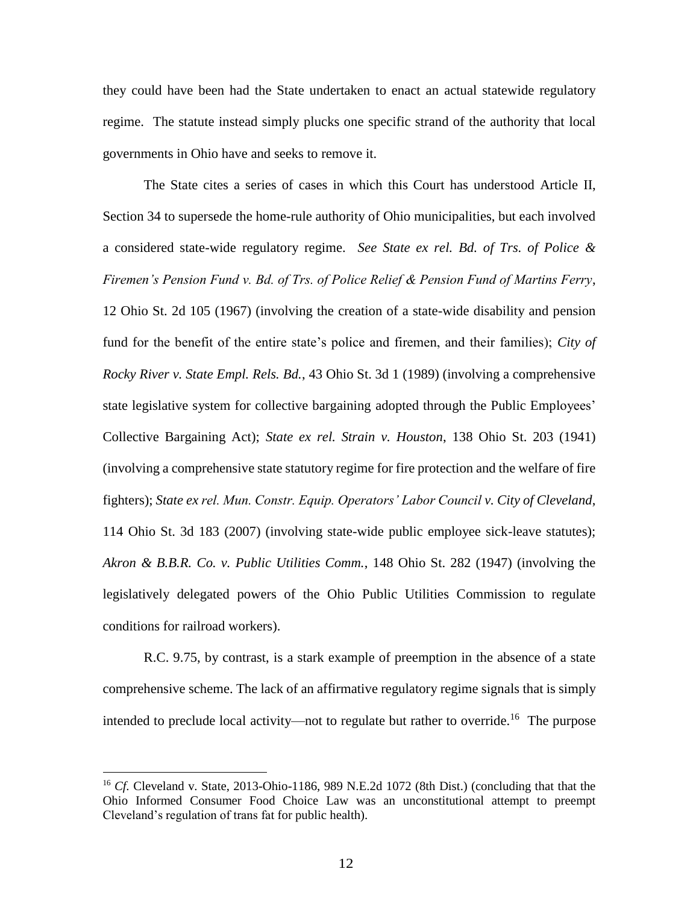they could have been had the State undertaken to enact an actual statewide regulatory regime. The statute instead simply plucks one specific strand of the authority that local governments in Ohio have and seeks to remove it.

The State cites a series of cases in which this Court has understood Article II, Section 34 to supersede the home-rule authority of Ohio municipalities, but each involved a considered state-wide regulatory regime. *See State ex rel. Bd. of Trs. of Police & Firemen's Pension Fund v. Bd. of Trs. of Police Relief & Pension Fund of Martins Ferry*, 12 Ohio St. 2d 105 (1967) (involving the creation of a state-wide disability and pension fund for the benefit of the entire state's police and firemen, and their families); *City of Rocky River v. State Empl. Rels. Bd.*, 43 Ohio St. 3d 1 (1989) (involving a comprehensive state legislative system for collective bargaining adopted through the Public Employees' Collective Bargaining Act); *State ex rel. Strain v. Houston*, 138 Ohio St. 203 (1941) (involving a comprehensive state statutory regime for fire protection and the welfare of fire fighters); *State ex rel. Mun. Constr. Equip. Operators' Labor Council v. City of Cleveland*, 114 Ohio St. 3d 183 (2007) (involving state-wide public employee sick-leave statutes); *Akron & B.B.R. Co. v. Public Utilities Comm.*, 148 Ohio St. 282 (1947) (involving the legislatively delegated powers of the Ohio Public Utilities Commission to regulate conditions for railroad workers).

R.C. 9.75, by contrast, is a stark example of preemption in the absence of a state comprehensive scheme. The lack of an affirmative regulatory regime signals that is simply intended to preclude local activity—not to regulate but rather to override.<sup>16</sup> The purpose

<sup>16</sup> *Cf.* Cleveland v. State, 2013-Ohio-1186, 989 N.E.2d 1072 (8th Dist.) (concluding that that the Ohio Informed Consumer Food Choice Law was an unconstitutional attempt to preempt Cleveland's regulation of trans fat for public health).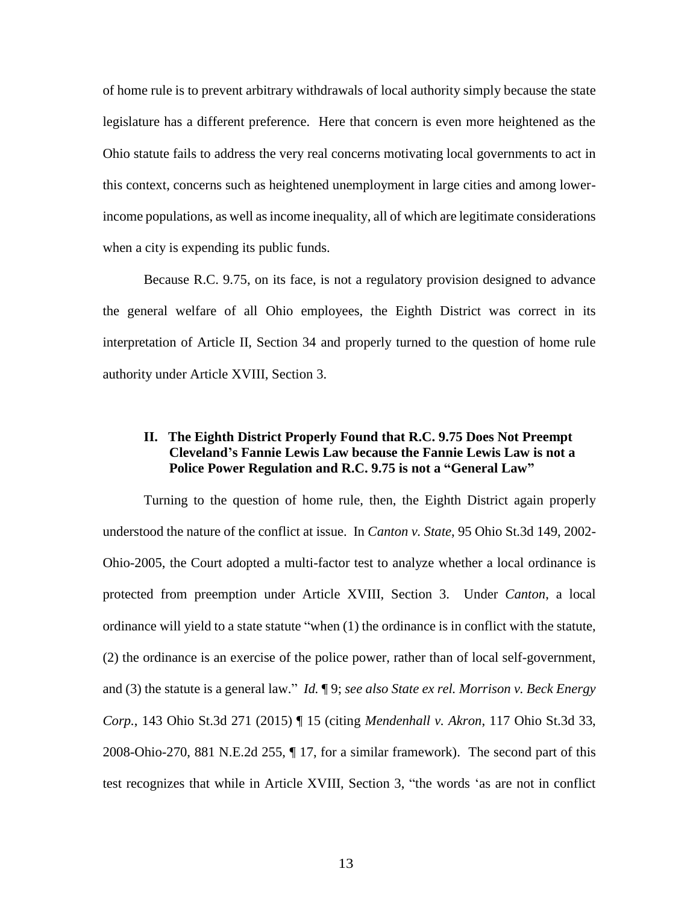of home rule is to prevent arbitrary withdrawals of local authority simply because the state legislature has a different preference. Here that concern is even more heightened as the Ohio statute fails to address the very real concerns motivating local governments to act in this context, concerns such as heightened unemployment in large cities and among lowerincome populations, as well as income inequality, all of which are legitimate considerations when a city is expending its public funds.

Because R.C. 9.75, on its face, is not a regulatory provision designed to advance the general welfare of all Ohio employees, the Eighth District was correct in its interpretation of Article II, Section 34 and properly turned to the question of home rule authority under Article XVIII, Section 3.

#### **II. The Eighth District Properly Found that R.C. 9.75 Does Not Preempt Cleveland's Fannie Lewis Law because the Fannie Lewis Law is not a Police Power Regulation and R.C. 9.75 is not a "General Law"**

Turning to the question of home rule, then, the Eighth District again properly understood the nature of the conflict at issue. In *Canton v. State*, 95 Ohio St.3d 149, 2002- Ohio-2005, the Court adopted a multi-factor test to analyze whether a local ordinance is protected from preemption under Article XVIII, Section 3. Under *Canton*, a local ordinance will yield to a state statute "when (1) the ordinance is in conflict with the statute, (2) the ordinance is an exercise of the police power, rather than of local self-government, and (3) the statute is a general law." *Id.* ¶ 9; *see also State ex rel. Morrison v. Beck Energy Corp.*, 143 Ohio St.3d 271 (2015) ¶ 15 (citing *Mendenhall v. Akron*, 117 Ohio St.3d 33, 2008-Ohio-270, 881 N.E.2d 255, ¶ 17, for a similar framework). The second part of this test recognizes that while in Article XVIII, Section 3, "the words 'as are not in conflict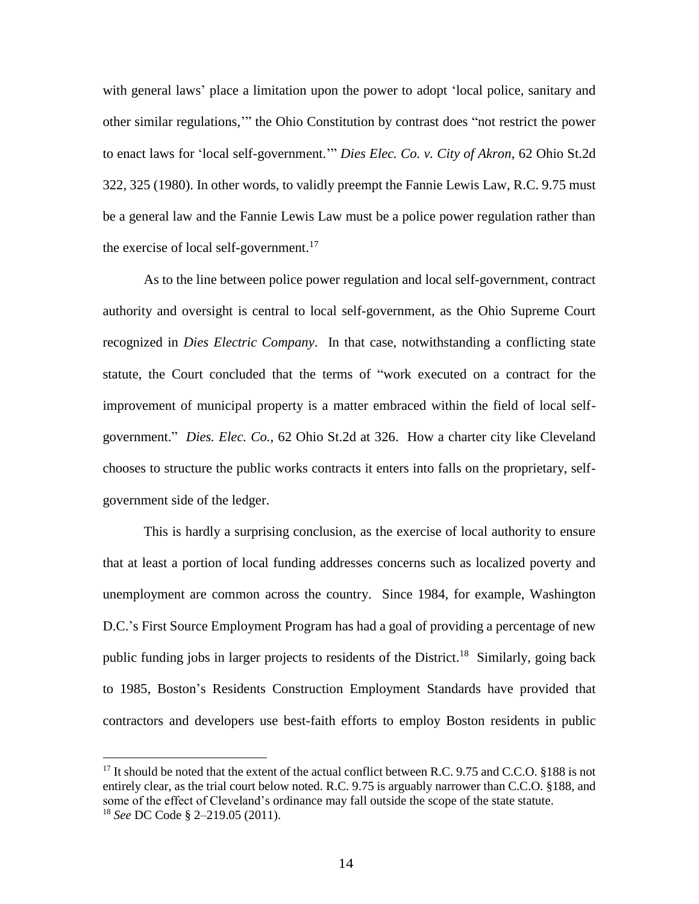with general laws' place a limitation upon the power to adopt 'local police, sanitary and other similar regulations,'" the Ohio Constitution by contrast does "not restrict the power to enact laws for 'local self-government.'" *Dies Elec. Co. v. City of Akron*, 62 Ohio St.2d 322, 325 (1980). In other words, to validly preempt the Fannie Lewis Law, R.C. 9.75 must be a general law and the Fannie Lewis Law must be a police power regulation rather than the exercise of local self-government.<sup>17</sup>

As to the line between police power regulation and local self-government, contract authority and oversight is central to local self-government, as the Ohio Supreme Court recognized in *Dies Electric Company*. In that case, notwithstanding a conflicting state statute, the Court concluded that the terms of "work executed on a contract for the improvement of municipal property is a matter embraced within the field of local selfgovernment." *Dies. Elec. Co.,* 62 Ohio St.2d at 326. How a charter city like Cleveland chooses to structure the public works contracts it enters into falls on the proprietary, selfgovernment side of the ledger.

This is hardly a surprising conclusion, as the exercise of local authority to ensure that at least a portion of local funding addresses concerns such as localized poverty and unemployment are common across the country. Since 1984, for example, Washington D.C.'s First Source Employment Program has had a goal of providing a percentage of new public funding jobs in larger projects to residents of the District.<sup>18</sup> Similarly, going back to 1985, Boston's Residents Construction Employment Standards have provided that contractors and developers use best-faith efforts to employ Boston residents in public

<sup>&</sup>lt;sup>17</sup> It should be noted that the extent of the actual conflict between R.C. 9.75 and C.C.O. §188 is not entirely clear, as the trial court below noted. R.C. 9.75 is arguably narrower than C.C.O. §188, and some of the effect of Cleveland's ordinance may fall outside the scope of the state statute. <sup>18</sup> *See* DC Code § 2–219.05 (2011).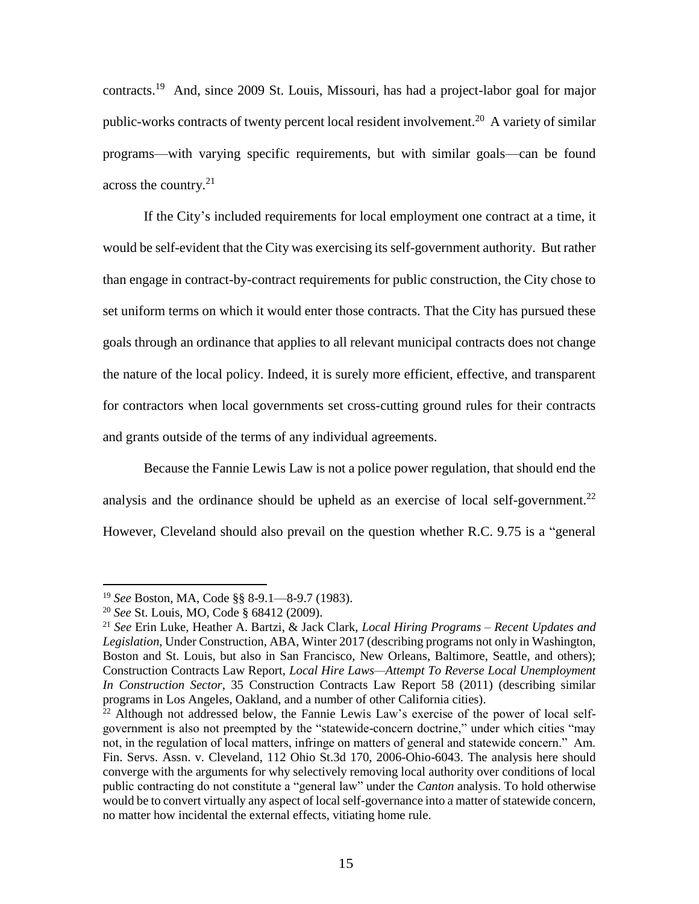contracts.<sup>19</sup> And, since 2009 St. Louis, Missouri, has had a project-labor goal for major public-works contracts of twenty percent local resident involvement.<sup>20</sup> A variety of similar programs—with varying specific requirements, but with similar goals—can be found across the country.<sup>21</sup>

If the City's included requirements for local employment one contract at a time, it would be self-evident that the City was exercising its self-government authority. But rather than engage in contract-by-contract requirements for public construction, the City chose to set uniform terms on which it would enter those contracts. That the City has pursued these goals through an ordinance that applies to all relevant municipal contracts does not change the nature of the local policy. Indeed, it is surely more efficient, effective, and transparent for contractors when local governments set cross-cutting ground rules for their contracts and grants outside of the terms of any individual agreements.

Because the Fannie Lewis Law is not a police power regulation, that should end the analysis and the ordinance should be upheld as an exercise of local self-government.<sup>22</sup> However, Cleveland should also prevail on the question whether R.C. 9.75 is a "general

<sup>19</sup> *See* Boston, MA, Code §§ 8-9.1—8-9.7 (1983).

<sup>20</sup> *See* St. Louis, MO, Code § 68412 (2009).

<sup>21</sup> *See* Erin Luke, Heather A. Bartzi, & Jack Clark, *Local Hiring Programs – Recent Updates and Legislation*, Under Construction, ABA, Winter 2017 (describing programs not only in Washington, Boston and St. Louis, but also in San Francisco, New Orleans, Baltimore, Seattle, and others); Construction Contracts Law Report, *Local Hire Laws—Attempt To Reverse Local Unemployment In Construction Sector*, 35 Construction Contracts Law Report 58 (2011) (describing similar programs in Los Angeles, Oakland, and a number of other California cities).

 $22$  Although not addressed below, the Fannie Lewis Law's exercise of the power of local selfgovernment is also not preempted by the "statewide-concern doctrine," under which cities "may not, in the regulation of local matters, infringe on matters of general and statewide concern." Am. Fin. Servs. Assn. v. Cleveland, 112 Ohio St.3d 170, 2006-Ohio-6043. The analysis here should converge with the arguments for why selectively removing local authority over conditions of local public contracting do not constitute a "general law" under the *Canton* analysis. To hold otherwise would be to convert virtually any aspect of local self-governance into a matter of statewide concern, no matter how incidental the external effects, vitiating home rule.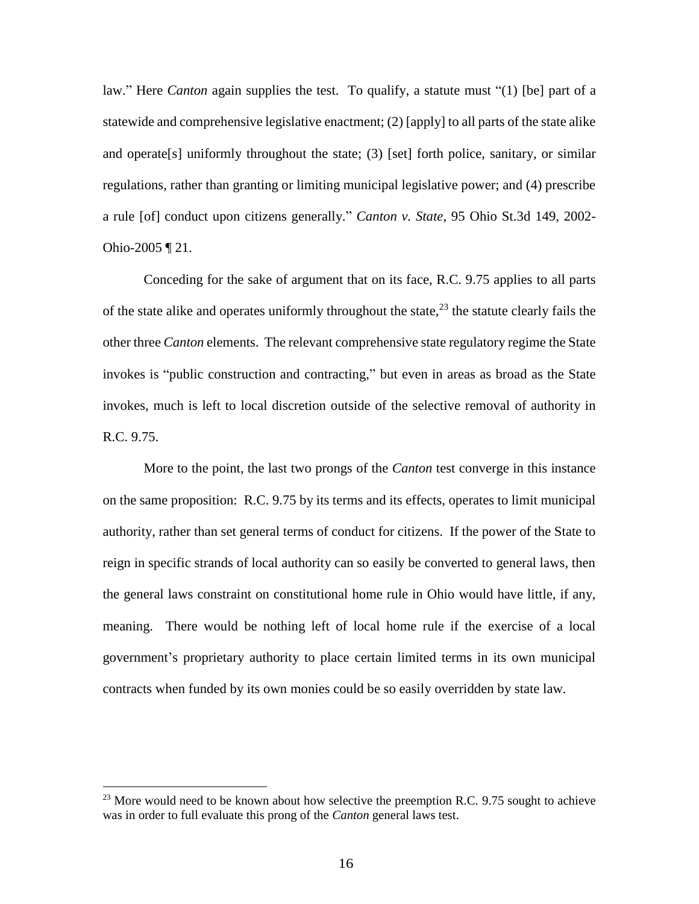law." Here *Canton* again supplies the test. To qualify, a statute must "(1) [be] part of a statewide and comprehensive legislative enactment; (2) [apply] to all parts of the state alike and operate[s] uniformly throughout the state; (3) [set] forth police, sanitary, or similar regulations, rather than granting or limiting municipal legislative power; and (4) prescribe a rule [of] conduct upon citizens generally." *Canton v. State*, 95 Ohio St.3d 149, 2002- Ohio-2005 ¶ 21.

Conceding for the sake of argument that on its face, R.C. 9.75 applies to all parts of the state alike and operates uniformly throughout the state,  $2<sup>3</sup>$  the statute clearly fails the other three *Canton* elements. The relevant comprehensive state regulatory regime the State invokes is "public construction and contracting," but even in areas as broad as the State invokes, much is left to local discretion outside of the selective removal of authority in R.C. 9.75.

More to the point, the last two prongs of the *Canton* test converge in this instance on the same proposition: R.C. 9.75 by its terms and its effects, operates to limit municipal authority, rather than set general terms of conduct for citizens. If the power of the State to reign in specific strands of local authority can so easily be converted to general laws, then the general laws constraint on constitutional home rule in Ohio would have little, if any, meaning. There would be nothing left of local home rule if the exercise of a local government's proprietary authority to place certain limited terms in its own municipal contracts when funded by its own monies could be so easily overridden by state law.

 $^{23}$  More would need to be known about how selective the preemption R.C. 9.75 sought to achieve was in order to full evaluate this prong of the *Canton* general laws test.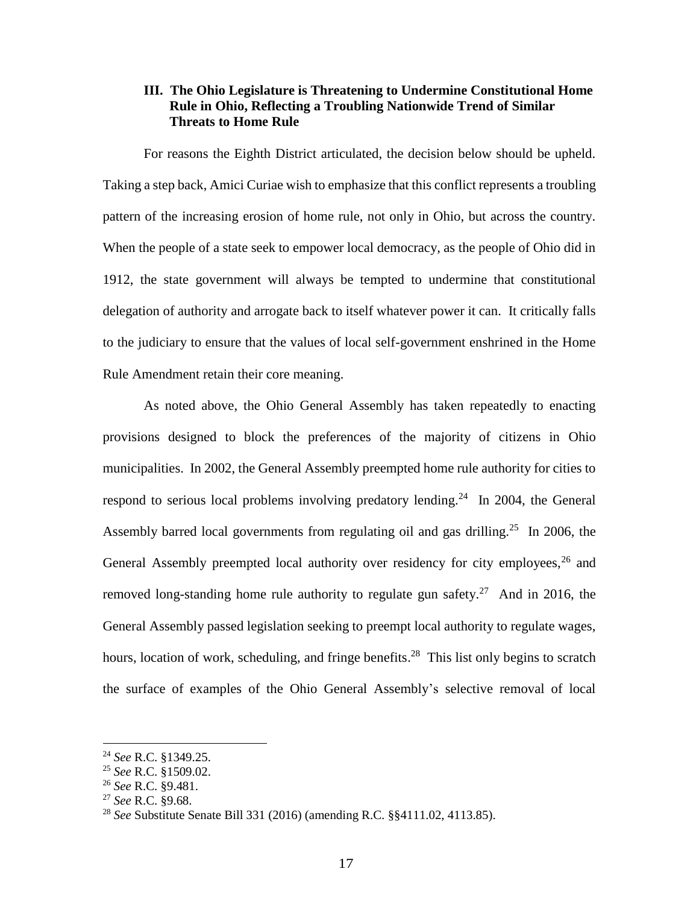#### **III. The Ohio Legislature is Threatening to Undermine Constitutional Home Rule in Ohio, Reflecting a Troubling Nationwide Trend of Similar Threats to Home Rule**

For reasons the Eighth District articulated, the decision below should be upheld. Taking a step back, Amici Curiae wish to emphasize that this conflict represents a troubling pattern of the increasing erosion of home rule, not only in Ohio, but across the country. When the people of a state seek to empower local democracy, as the people of Ohio did in 1912, the state government will always be tempted to undermine that constitutional delegation of authority and arrogate back to itself whatever power it can. It critically falls to the judiciary to ensure that the values of local self-government enshrined in the Home Rule Amendment retain their core meaning.

As noted above, the Ohio General Assembly has taken repeatedly to enacting provisions designed to block the preferences of the majority of citizens in Ohio municipalities. In 2002, the General Assembly preempted home rule authority for cities to respond to serious local problems involving predatory lending.<sup>24</sup> In 2004, the General Assembly barred local governments from regulating oil and gas drilling.<sup>25</sup> In 2006, the General Assembly preempted local authority over residency for city employees,  $26$  and removed long-standing home rule authority to regulate gun safety.<sup>27</sup> And in 2016, the General Assembly passed legislation seeking to preempt local authority to regulate wages, hours, location of work, scheduling, and fringe benefits.<sup>28</sup> This list only begins to scratch the surface of examples of the Ohio General Assembly's selective removal of local

<sup>24</sup> *See* R.C. §1349.25.

<sup>25</sup> *See* R.C. §1509.02.

<sup>26</sup> *See* R.C. §9.481.

<sup>27</sup> *See* R.C. §9.68.

<sup>28</sup> *See* Substitute Senate Bill 331 (2016) (amending R.C. §§4111.02, 4113.85).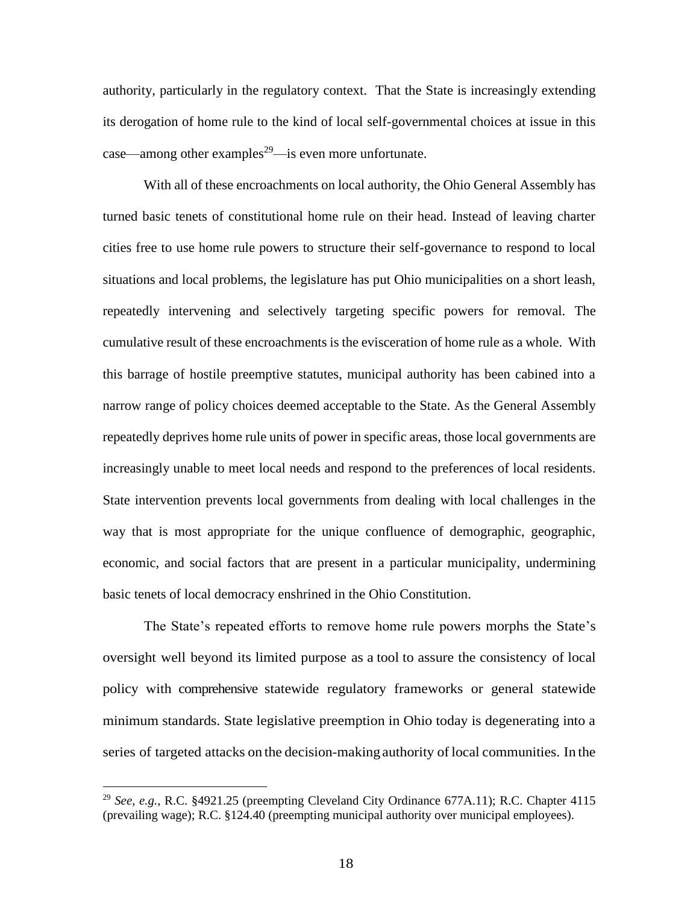authority, particularly in the regulatory context. That the State is increasingly extending its derogation of home rule to the kind of local self-governmental choices at issue in this case—among other examples<sup>29</sup>—is even more unfortunate.

With all of these encroachments on local authority, the Ohio General Assembly has turned basic tenets of constitutional home rule on their head. Instead of leaving charter cities free to use home rule powers to structure their self-governance to respond to local situations and local problems, the legislature has put Ohio municipalities on a short leash, repeatedly intervening and selectively targeting specific powers for removal. The cumulative result of these encroachments is the evisceration of home rule as a whole. With this barrage of hostile preemptive statutes, municipal authority has been cabined into a narrow range of policy choices deemed acceptable to the State. As the General Assembly repeatedly deprives home rule units of power in specific areas, those local governments are increasingly unable to meet local needs and respond to the preferences of local residents. State intervention prevents local governments from dealing with local challenges in the way that is most appropriate for the unique confluence of demographic, geographic, economic, and social factors that are present in a particular municipality, undermining basic tenets of local democracy enshrined in the Ohio Constitution.

The State's repeated efforts to remove home rule powers morphs the State's oversight well beyond its limited purpose as a tool to assure the consistency of local policy with comprehensive statewide regulatory frameworks or general statewide minimum standards. State legislative preemption in Ohio today is degenerating into a series of targeted attacks on the decision-making authority of local communities. In the

<sup>29</sup> *See, e.g.*, R.C. §4921.25 (preempting Cleveland City Ordinance 677A.11); R.C. Chapter 4115 (prevailing wage); R.C. §124.40 (preempting municipal authority over municipal employees).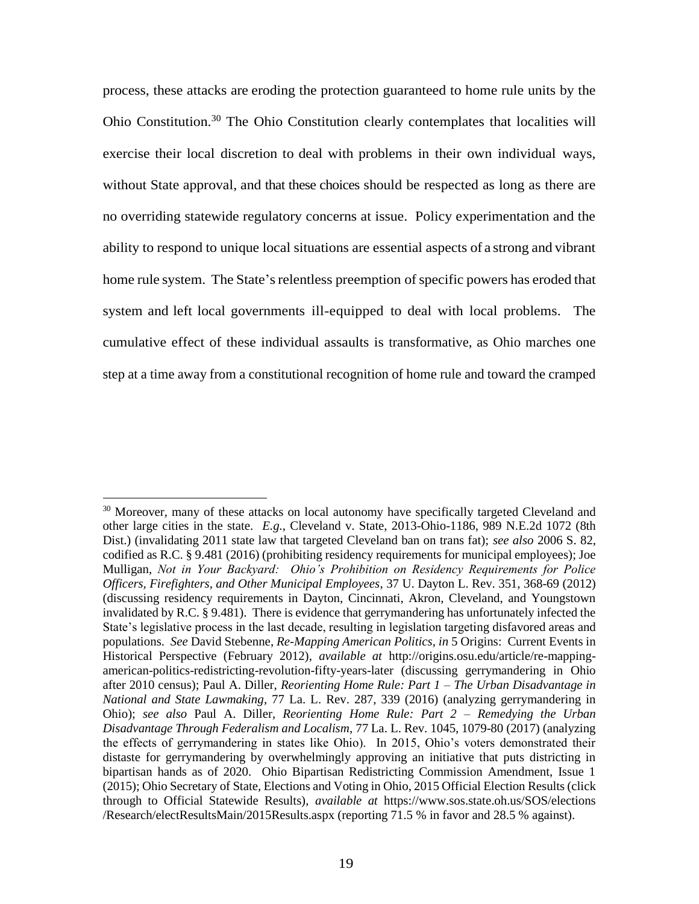process, these attacks are eroding the protection guaranteed to home rule units by the Ohio Constitution.<sup>30</sup> The Ohio Constitution clearly contemplates that localities will exercise their local discretion to deal with problems in their own individual ways, without State approval, and that these choices should be respected as long as there are no overriding statewide regulatory concerns at issue. Policy experimentation and the ability to respond to unique local situations are essential aspects of a strong and vibrant home rule system. The State's relentless preemption of specific powers has eroded that system and left local governments ill-equipped to deal with local problems. The cumulative effect of these individual assaults is transformative, as Ohio marches one step at a time away from a constitutional recognition of home rule and toward the cramped

 $\overline{a}$ <sup>30</sup> Moreover, many of these attacks on local autonomy have specifically targeted Cleveland and other large cities in the state. *E.g.*, Cleveland v. State, 2013-Ohio-1186, 989 N.E.2d 1072 (8th Dist.) (invalidating 2011 state law that targeted Cleveland ban on trans fat); *see also* 2006 S. 82, codified as R.C. § 9.481 (2016) (prohibiting residency requirements for municipal employees); Joe Mulligan, *Not in Your Backyard: Ohio's Prohibition on Residency Requirements for Police Officers, Firefighters, and Other Municipal Employees*, 37 U. Dayton L. Rev. 351, 368-69 (2012) (discussing residency requirements in Dayton, Cincinnati, Akron, Cleveland, and Youngstown invalidated by R.C. § 9.481). There is evidence that gerrymandering has unfortunately infected the State's legislative process in the last decade, resulting in legislation targeting disfavored areas and populations. *See* David Stebenne, *Re-Mapping American Politics*, *in* 5 Origins: Current Events in Historical Perspective (February 2012), *available at* http://origins.osu.edu/article/re-mappingamerican-politics-redistricting-revolution-fifty-years-later (discussing gerrymandering in Ohio after 2010 census); Paul A. Diller, *Reorienting Home Rule: Part 1 – The Urban Disadvantage in National and State Lawmaking*, 77 La. L. Rev. 287, 339 (2016) (analyzing gerrymandering in Ohio); *see also* Paul A. Diller, *Reorienting Home Rule: Part 2 – Remedying the Urban Disadvantage Through Federalism and Localism*, 77 La. L. Rev. 1045, 1079-80 (2017) (analyzing the effects of gerrymandering in states like Ohio). In 2015, Ohio's voters demonstrated their distaste for gerrymandering by overwhelmingly approving an initiative that puts districting in bipartisan hands as of 2020. Ohio Bipartisan Redistricting Commission Amendment, Issue 1 (2015); Ohio Secretary of State, Elections and Voting in Ohio, 2015 Official Election Results (click through to Official Statewide Results), *available at* https://www.sos.state.oh.us/SOS/elections /Research/electResultsMain/2015Results.aspx (reporting 71.5 % in favor and 28.5 % against).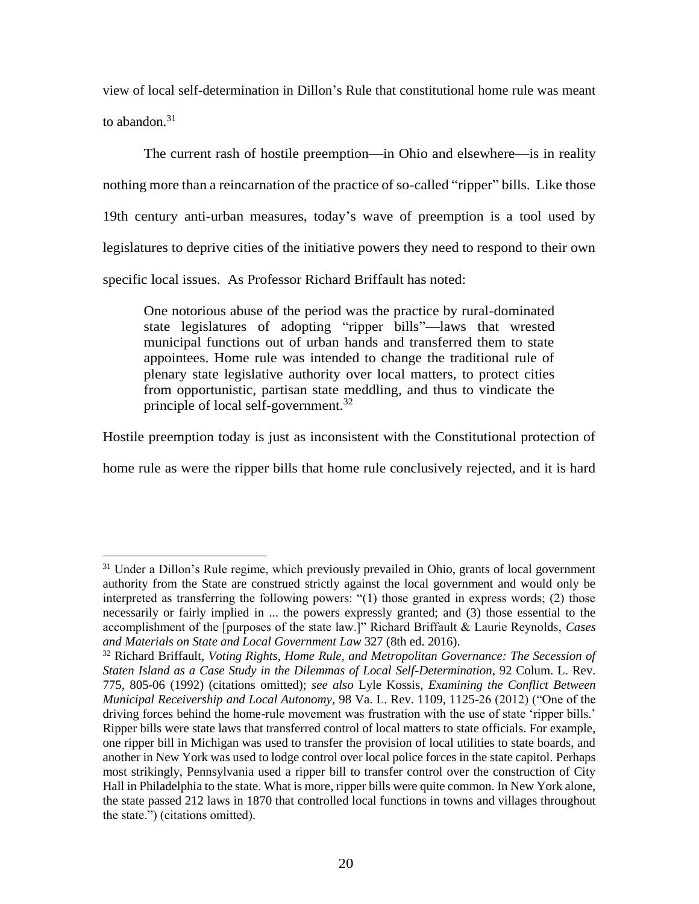view of local self-determination in Dillon's Rule that constitutional home rule was meant to abandon. $31$ 

The current rash of hostile preemption—in Ohio and elsewhere—is in reality nothing more than a reincarnation of the practice of so-called "ripper" bills. Like those 19th century anti-urban measures, today's wave of preemption is a tool used by legislatures to deprive cities of the initiative powers they need to respond to their own specific local issues. As Professor Richard Briffault has noted:

One notorious abuse of the period was the practice by rural-dominated state legislatures of adopting "ripper bills"—laws that wrested municipal functions out of urban hands and transferred them to state appointees. Home rule was intended to change the traditional rule of plenary state legislative authority over local matters, to protect cities from opportunistic, partisan state meddling, and thus to vindicate the principle of local self-government.<sup>32</sup>

Hostile preemption today is just as inconsistent with the Constitutional protection of

home rule as were the ripper bills that home rule conclusively rejected, and it is hard

<sup>&</sup>lt;sup>31</sup> Under a Dillon's Rule regime, which previously prevailed in Ohio, grants of local government authority from the State are construed strictly against the local government and would only be interpreted as transferring the following powers: "(1) those granted in express words; (2) those necessarily or fairly implied in ... the powers expressly granted; and (3) those essential to the accomplishment of the [purposes of the state law.]" Richard Briffault & Laurie Reynolds, *Cases and Materials on State and Local Government Law* 327 (8th ed. 2016).

<sup>32</sup> Richard Briffault, *Voting Rights, Home Rule, and Metropolitan Governance: The Secession of Staten Island as a Case Study in the Dilemmas of Local Self-Determination*, 92 Colum. L. Rev. 775, 805-06 (1992) (citations omitted); *see also* Lyle Kossis, *Examining the Conflict Between Municipal Receivership and Local Autonomy*, 98 Va. L. Rev. 1109, 1125-26 (2012) ("One of the driving forces behind the home-rule movement was frustration with the use of state 'ripper bills.' Ripper bills were state laws that transferred control of local matters to state officials. For example, one ripper bill in Michigan was used to transfer the provision of local utilities to state boards, and another in New York was used to lodge control over local police forces in the state capitol. Perhaps most strikingly, Pennsylvania used a ripper bill to transfer control over the construction of City Hall in Philadelphia to the state. What is more, ripper bills were quite common. In New York alone, the state passed 212 laws in 1870 that controlled local functions in towns and villages throughout the state.") (citations omitted).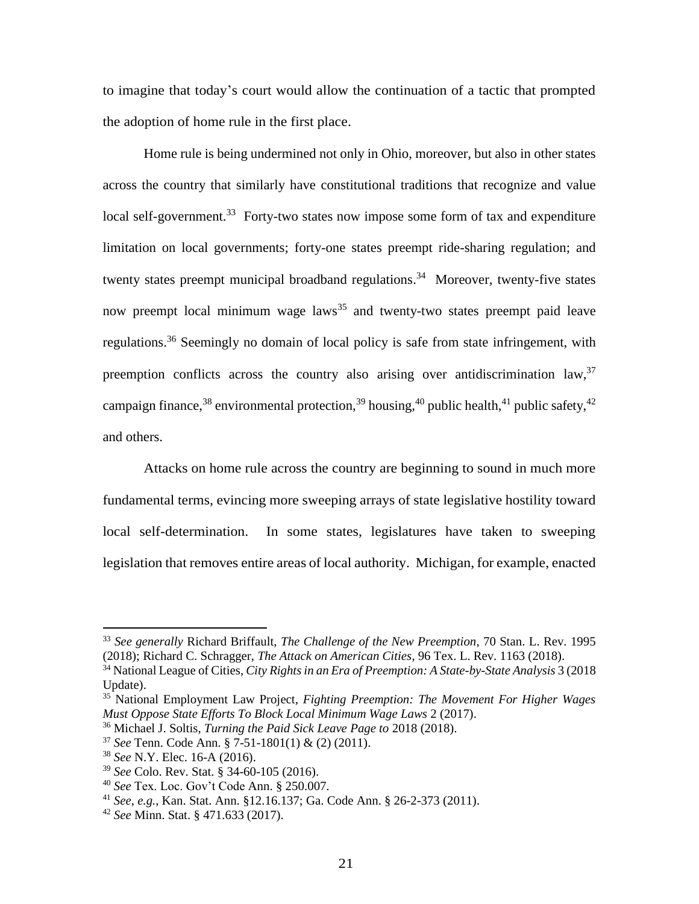to imagine that today's court would allow the continuation of a tactic that prompted the adoption of home rule in the first place.

Home rule is being undermined not only in Ohio, moreover, but also in other states across the country that similarly have constitutional traditions that recognize and value local self-government.<sup>33</sup> Forty-two states now impose some form of tax and expenditure limitation on local governments; forty-one states preempt ride-sharing regulation; and twenty states preempt municipal broadband regulations.<sup>34</sup> Moreover, twenty-five states now preempt local minimum wage laws<sup>35</sup> and twenty-two states preempt paid leave regulations.<sup>36</sup> Seemingly no domain of local policy is safe from state infringement, with preemption conflicts across the country also arising over antidiscrimination law,<sup>37</sup> campaign finance,<sup>38</sup> environmental protection,<sup>39</sup> housing,<sup>40</sup> public health,<sup>41</sup> public safety,<sup>42</sup> and others.

Attacks on home rule across the country are beginning to sound in much more fundamental terms, evincing more sweeping arrays of state legislative hostility toward local self-determination. In some states, legislatures have taken to sweeping legislation that removes entire areas of local authority. Michigan, for example, enacted

<sup>33</sup> *See generally* Richard Briffault, *The Challenge of the New Preemption*, 70 Stan. L. Rev. 1995 (2018); Richard C. Schragger, *The Attack on American Cities*, 96 Tex. L. Rev. 1163 (2018).

<sup>34</sup> National League of Cities, *City Rights in an Era of Preemption: A State-by-State Analysis* 3 (2018 Update).

<sup>35</sup> National Employment Law Project, *Fighting Preemption: The Movement For Higher Wages Must Oppose State Efforts To Block Local Minimum Wage Laws* 2 (2017).

<sup>36</sup> Michael J. Soltis, *Turning the Paid Sick Leave Page to* 2018 (2018).

<sup>37</sup> *See* Tenn. Code Ann. § 7-51-1801(1) & (2) (2011).

<sup>38</sup> *See* N.Y. Elec. 16-A (2016).

<sup>39</sup> *See* Colo. Rev. Stat. § 34-60-105 (2016).

<sup>40</sup> *See* Tex. Loc. Gov't Code Ann. § 250.007.

<sup>41</sup> *See, e.g.*, Kan. Stat. Ann. [§12.16.137;](http://www.ksrevisor.org/statutes/chapters/ch12/012_016_0137.html) [Ga. Code Ann. § 26-2-373 \(2011\).](http://codes.findlaw.com/ga/title-26-food-drugs-and-cosmetics/ga-code-sect-26-2-373.html)

<sup>42</sup> *See* Minn. Stat. § 471.633 (2017).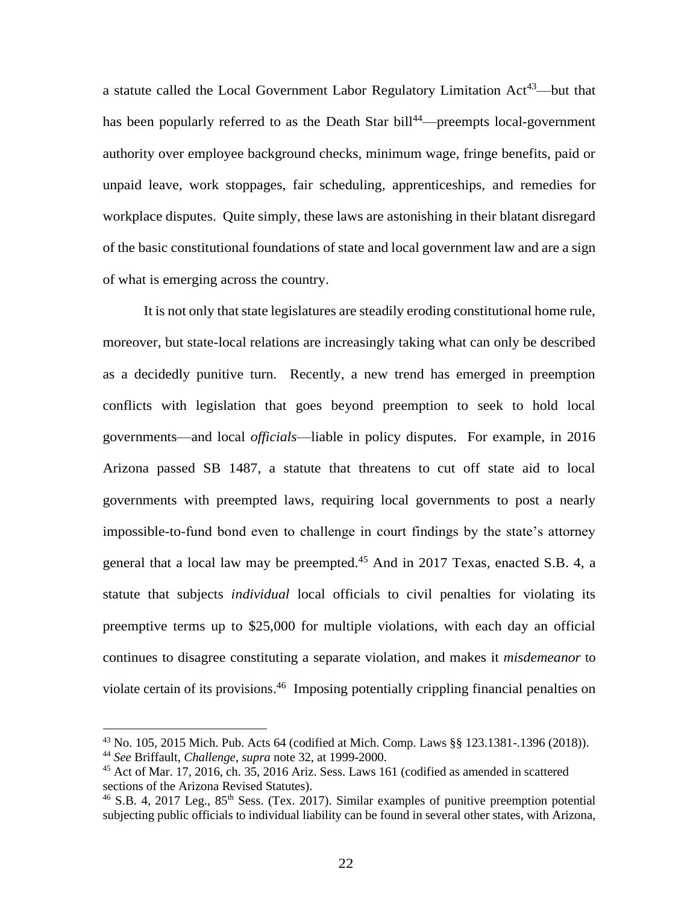a statute called the Local Government Labor Regulatory Limitation  $Act^{43}$ —but that has been popularly referred to as the Death Star bill<sup>44</sup>—preempts local-government authority over employee background checks, minimum wage, fringe benefits, paid or unpaid leave, work stoppages, fair scheduling, apprenticeships, and remedies for workplace disputes. Quite simply, these laws are astonishing in their blatant disregard of the basic constitutional foundations of state and local government law and are a sign of what is emerging across the country.

It is not only that state legislatures are steadily eroding constitutional home rule, moreover, but state-local relations are increasingly taking what can only be described as a decidedly punitive turn. Recently, a new trend has emerged in preemption conflicts with legislation that goes beyond preemption to seek to hold local governments—and local *officials*—liable in policy disputes. For example, in 2016 Arizona passed SB 1487, a statute that threatens to cut off state aid to local governments with preempted laws, requiring local governments to post a nearly impossible-to-fund bond even to challenge in court findings by the state's attorney general that a local law may be preempted.<sup>45</sup> And in 2017 Texas, enacted S.B. 4, a statute that subjects *individual* local officials to civil penalties for violating its preemptive terms up to \$25,000 for multiple violations, with each day an official continues to disagree constituting a separate violation, and makes it *misdemeanor* to violate certain of its provisions.<sup>46</sup> Imposing potentially crippling financial penalties on

<sup>43</sup> No. 105, 2015 Mich. Pub. Acts 64 (codified at Mich. Comp. Laws §§ 123.1381-.1396 (2018)).

<sup>44</sup> *See* Briffault, *Challenge*, *supra* note 32, at 1999-2000.

<sup>45</sup> Act of Mar. 17, 2016, ch. 35, 2016 Ariz. Sess. Laws 161 (codified as amended in scattered sections of the Arizona Revised Statutes).

 $46$  S.B. 4, 2017 Leg.,  $85<sup>th</sup>$  Sess. (Tex. 2017). Similar examples of punitive preemption potential subjecting public officials to individual liability can be found in several other states, with Arizona,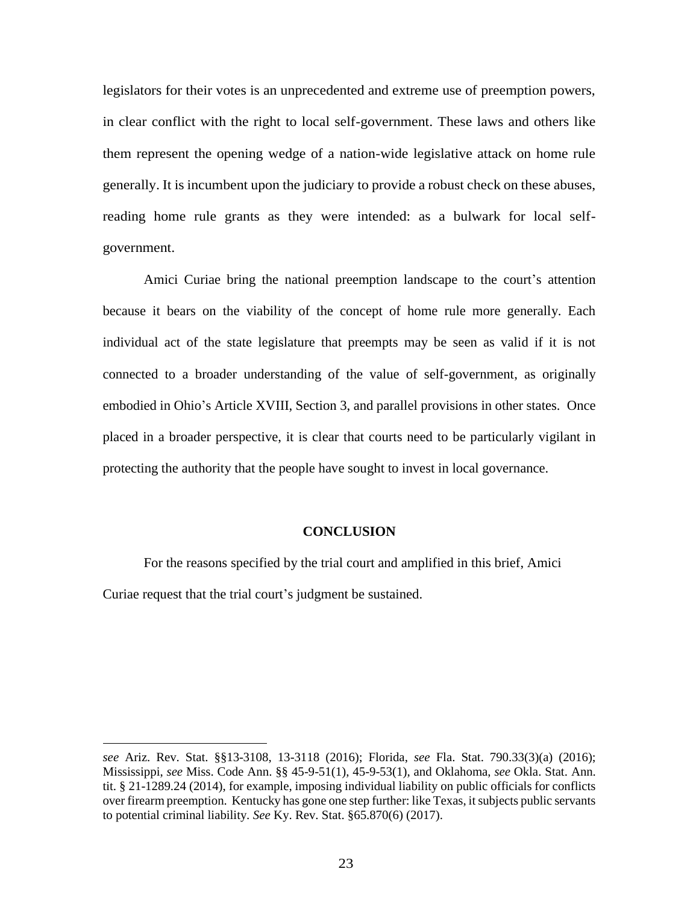legislators for their votes is an unprecedented and extreme use of preemption powers, in clear conflict with the right to local self-government. These laws and others like them represent the opening wedge of a nation-wide legislative attack on home rule generally. It is incumbent upon the judiciary to provide a robust check on these abuses, reading home rule grants as they were intended: as a bulwark for local selfgovernment.

Amici Curiae bring the national preemption landscape to the court's attention because it bears on the viability of the concept of home rule more generally. Each individual act of the state legislature that preempts may be seen as valid if it is not connected to a broader understanding of the value of self-government, as originally embodied in Ohio's Article XVIII, Section 3, and parallel provisions in other states. Once placed in a broader perspective, it is clear that courts need to be particularly vigilant in protecting the authority that the people have sought to invest in local governance.

#### **CONCLUSION**

For the reasons specified by the trial court and amplified in this brief, Amici Curiae request that the trial court's judgment be sustained.

*see* Ariz. Rev. Stat. §§13-3108, 13-3118 (2016); Florida, *see* Fla. Stat. 790.33(3)(a) (2016); Mississippi, *see* Miss. Code Ann. §§ 45-9-51(1), 45-9-53(1), and Oklahoma, *see* Okla. Stat. Ann. tit. § 21-1289.24 (2014), for example, imposing individual liability on public officials for conflicts over firearm preemption. Kentucky has gone one step further: like Texas, it subjects public servants to potential criminal liability. *See* Ky. Rev. Stat. §65.870(6) (2017).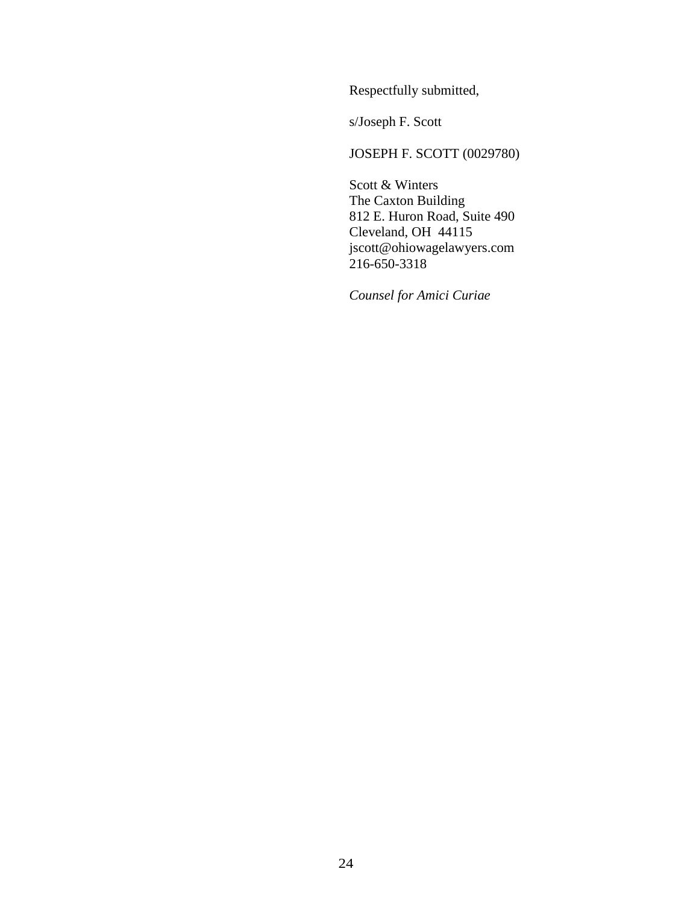Respectfully submitted,

s/Joseph F. Scott

### JOSEPH F. SCOTT (0029780)

Scott & Winters The Caxton Building 812 E. Huron Road, Suite 490 Cleveland, OH 44115 jscott@ohiowagelawyers.com 216-650-3318

*Counsel for Amici Curiae*